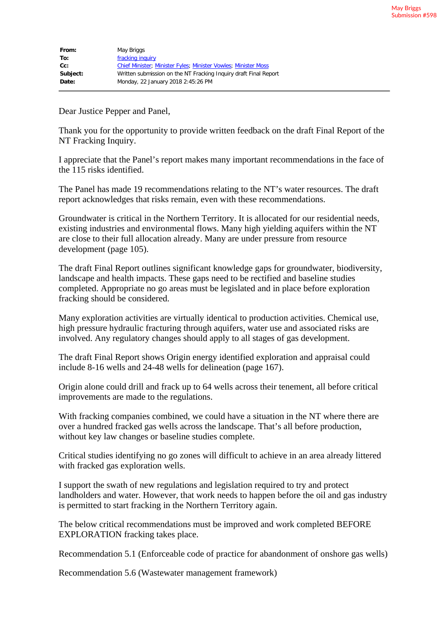| From:    | May Briggs                                                            |
|----------|-----------------------------------------------------------------------|
| To:      | fracking inquiry                                                      |
| cc:      | <b>Chief Minister: Minister Fyles: Minister Vowles: Minister Moss</b> |
| Subject: | Written submission on the NT Fracking Inguiry draft Final Report      |
| Date:    | Monday, 22 January 2018 2:45:26 PM                                    |

Dear Justice Pepper and Panel,

Thank you for the opportunity to provide written feedback on the draft Final Report of the NT Fracking Inquiry.

I appreciate that the Panel's report makes many important recommendations in the face of the 115 risks identified.

The Panel has made 19 recommendations relating to the NT's water resources. The draft report acknowledges that risks remain, even with these recommendations.

Groundwater is critical in the Northern Territory. It is allocated for our residential needs, existing industries and environmental flows. Many high yielding aquifers within the NT are close to their full allocation already. Many are under pressure from resource development (page 105).

The draft Final Report outlines significant knowledge gaps for groundwater, biodiversity, landscape and health impacts. These gaps need to be rectified and baseline studies completed. Appropriate no go areas must be legislated and in place before exploration fracking should be considered.

Many exploration activities are virtually identical to production activities. Chemical use, high pressure hydraulic fracturing through aquifers, water use and associated risks are involved. Any regulatory changes should apply to all stages of gas development.

The draft Final Report shows Origin energy identified exploration and appraisal could include 8-16 wells and 24-48 wells for delineation (page 167).

Origin alone could drill and frack up to 64 wells across their tenement, all before critical improvements are made to the regulations.

With fracking companies combined, we could have a situation in the NT where there are over a hundred fracked gas wells across the landscape. That's all before production, without key law changes or baseline studies complete.

Critical studies identifying no go zones will difficult to achieve in an area already littered with fracked gas exploration wells.

I support the swath of new regulations and legislation required to try and protect landholders and water. However, that work needs to happen before the oil and gas industry is permitted to start fracking in the Northern Territory again.

The below critical recommendations must be improved and work completed BEFORE EXPLORATION fracking takes place.

Recommendation 5.1 (Enforceable code of practice for abandonment of onshore gas wells)

Recommendation 5.6 (Wastewater management framework)